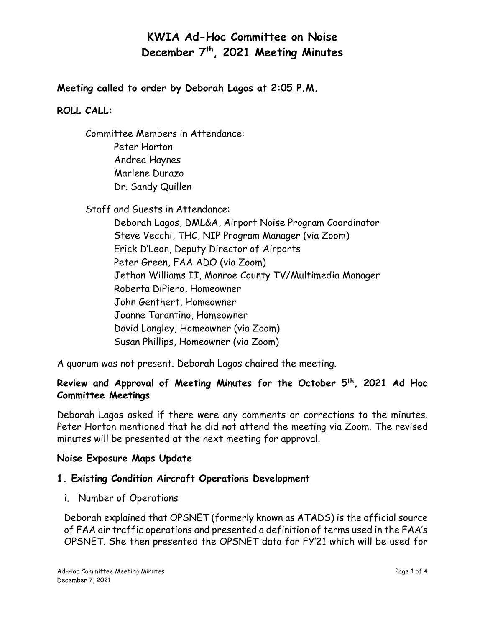**Meeting called to order by Deborah Lagos at 2:05 P.M.**

### **ROLL CALL:**

Committee Members in Attendance: Peter Horton Andrea Haynes Marlene Durazo Dr. Sandy Quillen

Staff and Guests in Attendance:

Deborah Lagos, DML&A, Airport Noise Program Coordinator Steve Vecchi, THC, NIP Program Manager (via Zoom) Erick D'Leon, Deputy Director of Airports Peter Green, FAA ADO (via Zoom) Jethon Williams II, Monroe County TV/Multimedia Manager Roberta DiPiero, Homeowner John Genthert, Homeowner Joanne Tarantino, Homeowner David Langley, Homeowner (via Zoom) Susan Phillips, Homeowner (via Zoom)

A quorum was not present. Deborah Lagos chaired the meeting.

### **Review and Approval of Meeting Minutes for the October 5th, 2021 Ad Hoc Committee Meetings**

Deborah Lagos asked if there were any comments or corrections to the minutes. Peter Horton mentioned that he did not attend the meeting via Zoom. The revised minutes will be presented at the next meeting for approval.

### **Noise Exposure Maps Update**

### **1. Existing Condition Aircraft Operations Development**

i. Number of Operations

Deborah explained that OPSNET (formerly known as ATADS) is the official source of FAA air traffic operations and presented a definition of terms used in the FAA's OPSNET. She then presented the OPSNET data for FY'21 which will be used for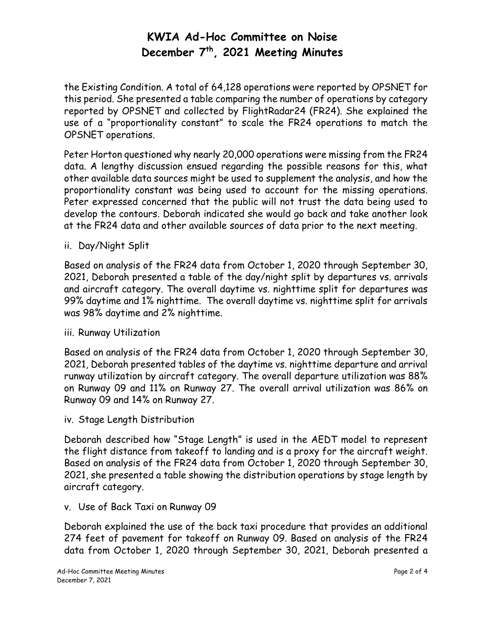the Existing Condition. A total of 64,128 operations were reported by OPSNET for this period. She presented a table comparing the number of operations by category reported by OPSNET and collected by FlightRadar24 (FR24). She explained the use of a "proportionality constant" to scale the FR24 operations to match the OPSNET operations.

Peter Horton questioned why nearly 20,000 operations were missing from the FR24 data. A lengthy discussion ensued regarding the possible reasons for this, what other available data sources might be used to supplement the analysis, and how the proportionality constant was being used to account for the missing operations. Peter expressed concerned that the public will not trust the data being used to develop the contours. Deborah indicated she would go back and take another look at the FR24 data and other available sources of data prior to the next meeting.

ii. Day/Night Split

Based on analysis of the FR24 data from October 1, 2020 through September 30, 2021, Deborah presented a table of the day/night split by departures vs. arrivals and aircraft category. The overall daytime vs. nighttime split for departures was 99% daytime and 1% nighttime. The overall daytime vs. nighttime split for arrivals was 98% daytime and 2% nighttime.

### iii. Runway Utilization

Based on analysis of the FR24 data from October 1, 2020 through September 30, 2021, Deborah presented tables of the daytime vs. nighttime departure and arrival runway utilization by aircraft category. The overall departure utilization was 88% on Runway 09 and 11% on Runway 27. The overall arrival utilization was 86% on Runway 09 and 14% on Runway 27.

iv. Stage Length Distribution

Deborah described how "Stage Length" is used in the AEDT model to represent the flight distance from takeoff to landing and is a proxy for the aircraft weight. Based on analysis of the FR24 data from October 1, 2020 through September 30, 2021, she presented a table showing the distribution operations by stage length by aircraft category.

### v. Use of Back Taxi on Runway 09

Deborah explained the use of the back taxi procedure that provides an additional 274 feet of pavement for takeoff on Runway 09. Based on analysis of the FR24 data from October 1, 2020 through September 30, 2021, Deborah presented a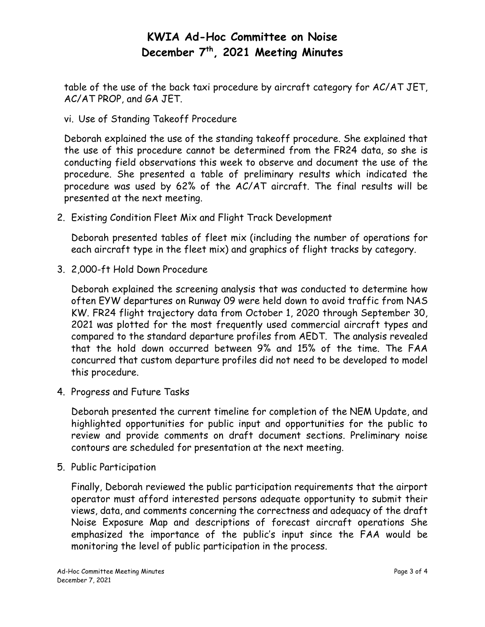table of the use of the back taxi procedure by aircraft category for AC/AT JET, AC/AT PROP, and GA JET.

vi. Use of Standing Takeoff Procedure

Deborah explained the use of the standing takeoff procedure. She explained that the use of this procedure cannot be determined from the FR24 data, so she is conducting field observations this week to observe and document the use of the procedure. She presented a table of preliminary results which indicated the procedure was used by 62% of the AC/AT aircraft. The final results will be presented at the next meeting.

2. Existing Condition Fleet Mix and Flight Track Development

Deborah presented tables of fleet mix (including the number of operations for each aircraft type in the fleet mix) and graphics of flight tracks by category.

3. 2,000-ft Hold Down Procedure

Deborah explained the screening analysis that was conducted to determine how often EYW departures on Runway 09 were held down to avoid traffic from NAS KW. FR24 flight trajectory data from October 1, 2020 through September 30, 2021 was plotted for the most frequently used commercial aircraft types and compared to the standard departure profiles from AEDT. The analysis revealed that the hold down occurred between 9% and 15% of the time. The FAA concurred that custom departure profiles did not need to be developed to model this procedure.

4. Progress and Future Tasks

Deborah presented the current timeline for completion of the NEM Update, and highlighted opportunities for public input and opportunities for the public to review and provide comments on draft document sections. Preliminary noise contours are scheduled for presentation at the next meeting.

5. Public Participation

Finally, Deborah reviewed the public participation requirements that the airport operator must afford interested persons adequate opportunity to submit their views, data, and comments concerning the correctness and adequacy of the draft Noise Exposure Map and descriptions of forecast aircraft operations She emphasized the importance of the public's input since the FAA would be monitoring the level of public participation in the process.